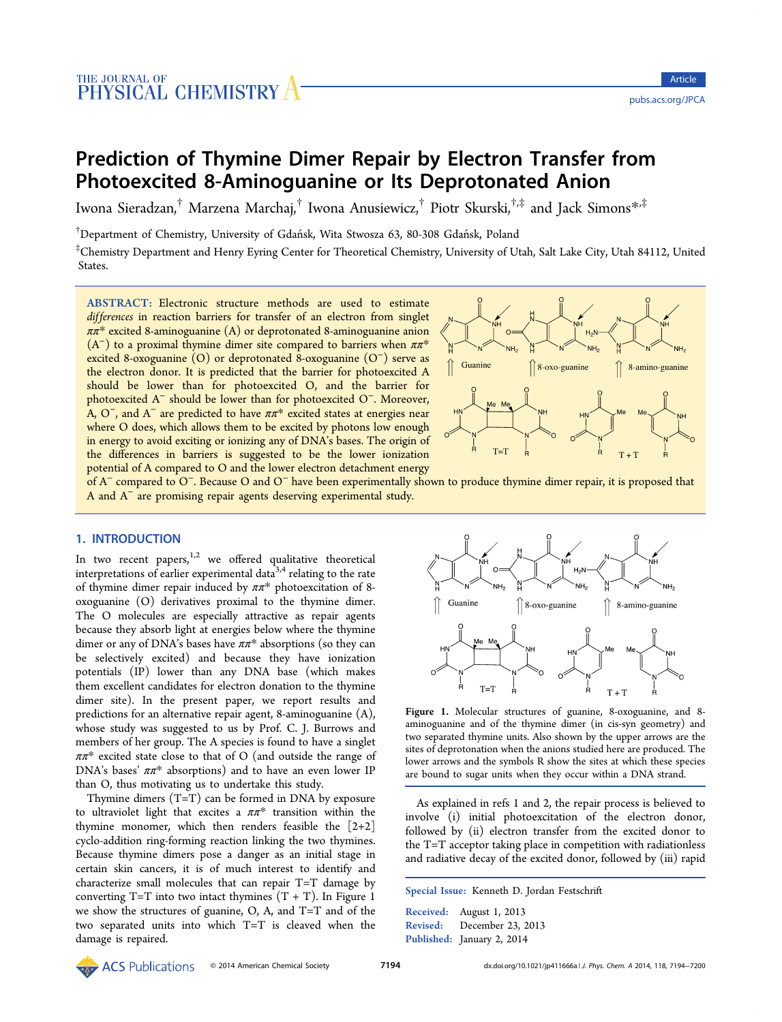# <span id="page-0-0"></span>Prediction of Thymine Dimer Repair by Electron Transfer from Photoexcited 8‑Aminoguanine or Its Deprotonated Anion

Iwona Sieradzan,<sup>†</sup> Marzena Marchaj,<sup>†</sup> Iwona Anusiewicz,<sup>†</sup> Piotr Skurski,<sup>†,‡</sup> and Jack Simons<sup>\*,‡</sup>

† Department of Chemistry, University of Gdańsk, Wita Stwosza 63, 80-308 Gdańsk, Poland

‡ Chemistry Department and Henry Eyring Center for Theoretical Chemistry, University of Utah, Salt Lake City, Utah 84112, United States.

ABSTRACT: Electronic structure methods are used to estimate differences in reaction barriers for transfer of an electron from singlet  $\pi \pi^*$  excited 8-aminoguanine (A) or deprotonated 8-aminoguanine anion  $(A<sup>-</sup>)$  to a proximal thymine dimer site compared to barriers when  $\pi \pi^*$ excited 8-oxoguanine (O) or deprotonated 8-oxoguanine (O<sup>−</sup>) serve as the electron donor. It is predicted that the barrier for photoexcited A should be lower than for photoexcited O, and the barrier for photoexcited A<sup>−</sup> should be lower than for photoexcited O<sup>−</sup>. Moreover, A,  $O^-$ , and  $A^-$  are predicted to have  $\pi \pi^*$  excited states at energies near where O does, which allows them to be excited by photons low enough in energy to avoid exciting or ionizing any of DNA's bases. The origin of the differences in barriers is suggested to be the lower ionization potential of A compared to O and the lower electron detachment energy



of A<sup>−</sup> compared to O<sup>−</sup>. Because O and O<sup>−</sup> have been experimentally shown to produce thymine dimer repair, it is proposed that A and A<sup>−</sup> are promising repair agents deserving experimental study.

# 1. INTRODUCTION

In two recent papers, $1,2$  we offered qualitative theoretical interpretations of earlier experimental data $3,4$  relating to the rate of thymine dimer repai[r in](#page-6-0)duced by  $\pi \pi^*$  photoexcitation of 8oxoguanine (O) derivatives proximal to [th](#page-6-0)e thymine dimer. The O molecules are especially attractive as repair agents because they absorb light at energies below where the thymine dimer or any of DNA's bases have  $\pi\pi^*$  absorptions (so they can be selectively excited) and because they have ionization potentials (IP) lower than any DNA base (which makes them excellent candidates for electron donation to the thymine dimer site). In the present paper, we report results and predictions for an alternative repair agent, 8-aminoguanine (A), whose study was suggested to us by Prof. C. J. Burrows and members of her group. The A species is found to have a singlet  $\pi \pi^*$  excited state close to that of O (and outside the range of DNA's bases'  $\pi \pi^*$  absorptions) and to have an even lower IP than O, thus motivating us to undertake this study.

Thymine dimers (T=T) can be formed in DNA by exposure to ultraviolet light that excites a  $\pi \pi^*$  transition within the thymine monomer, which then renders feasible the  $[2+2]$ cyclo-addition ring-forming reaction linking the two thymines. Because thymine dimers pose a danger as an initial stage in certain skin cancers, it is of much interest to identify and characterize small molecules that can repair T=T damage by converting  $T=T$  into two intact thymines  $(T + T)$ . In Figure 1 we show the structures of guanine, O, A, and T=T and of the two separated units into which T=T is cleaved when the damage is repaired.



Figure 1. Molecular structures of guanine, 8-oxoguanine, and 8 aminoguanine and of the thymine dimer (in cis-syn geometry) and two separated thymine units. Also shown by the upper arrows are the sites of deprotonation when the anions studied here are produced. The lower arrows and the symbols R show the sites at which these species are bound to sugar units when they occur within a DNA strand.

As explained in refs 1 and 2, the repair process is believed to involve (i) initial photoexcitation of the electron donor, followed by (ii) elect[ro](#page-6-0)n tr[an](#page-6-0)sfer from the excited donor to the T=T acceptor taking place in competition with radiationless and radiative decay of the excited donor, followed by (iii) rapid

Special Issue: Kenneth D. Jordan Festschrift

Received: August 1, 2013 Revised: December 23, 2013 Published: January 2, 2014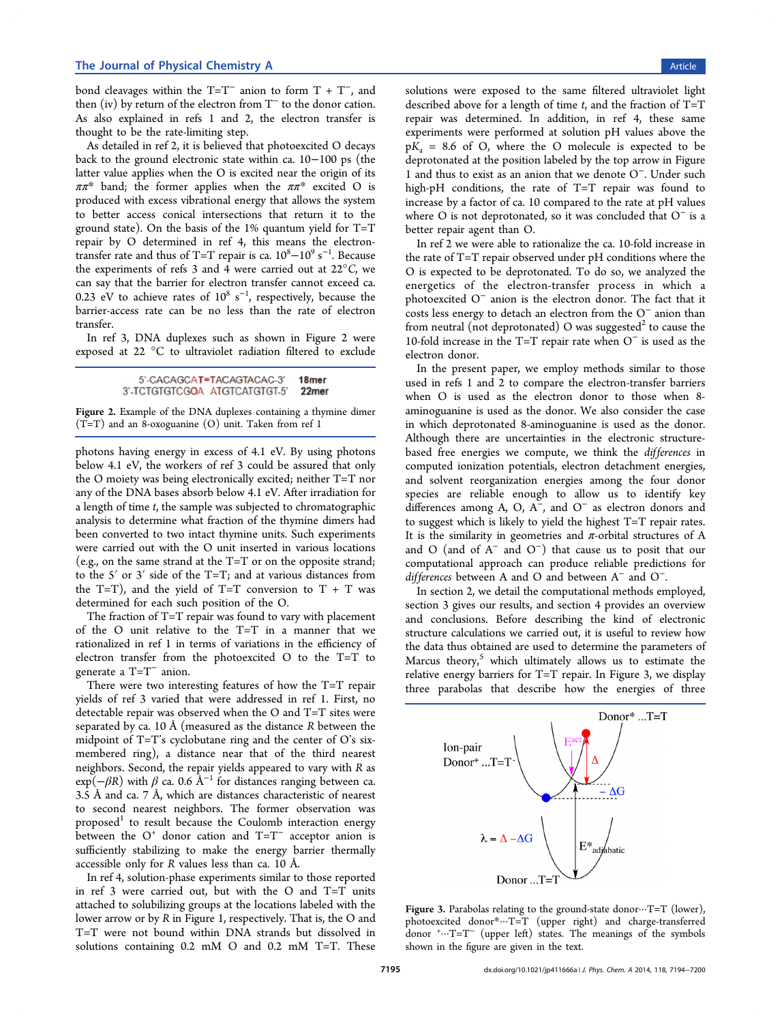<span id="page-1-0"></span>bond cleavages within the  $T=T^-$  anion to form  $T + T^-$ , and then (iv) by return of the electron from T<sup>−</sup> to the donor cation. As also explained in refs 1 and 2, the electron transfer is thought to be the rate-limiting step.

As detailed in ref 2, it is [bel](#page-6-0)ieved [th](#page-6-0)at photoexcited O decays back to the ground electronic state within ca. 10−100 ps (the latter value applies [wh](#page-6-0)en the O is excited near the origin of its  $\pi \pi^*$  band; the former applies when the  $\pi \pi^*$  excited O is produced with excess vibrational energy that allows the system to better access conical intersections that return it to the ground state). On the basis of the  $1\%$  quantum yield for T=T repair by O determined in ref 4, this means the electrontransfer rate and thus of T=T repair is ca.  $10^8 - 10^9$  s<sup>-1</sup>. Because the experiments of refs 3 and 4 [we](#page-6-0)re carried out at  $22^{\circ}$ C, we can say that the barrier for electron transfer cannot exceed ca. 0.23 eV to achieve rate[s](#page-6-0) of  $10^8 \text{ s}^{-1}$ , respectively, because the barrier-access rate can be no less than the rate of electron transfer.

In ref 3, DNA duplexes such as shown in Figure 2 were exposed at 22 °C to ultraviolet radiation filtered to exclude

> 5'-CACAGCAT=TACAGTACAC-3' 18<sub>mer</sub> 3'-TCTGTGTCGOA ATGTCATGTGT-5' 22mer

Figure 2. Example of the DNA duplexes containing a thymine dimer (T=T) and an 8-oxoguanine (O) unit. Taken from ref 1

photons having energy in excess of 4.1 eV. By u[sin](#page-6-0)g photons below 4.1 eV, the workers of ref 3 could be assured that only the O moiety was being electronically excited; neither T=T nor any of the DNA bases absorb belo[w](#page-6-0) 4.1 eV. After irradiation for a length of time t, the sample was subjected to chromatographic analysis to determine what fraction of the thymine dimers had been converted to two intact thymine units. Such experiments were carried out with the O unit inserted in various locations (e.g., on the same strand at the T=T or on the opposite strand; to the 5′ or 3′ side of the T=T; and at various distances from the  $T=T$ ), and the yield of  $T=T$  conversion to  $T + T$  was determined for each such position of the O.

The fraction of T=T repair was found to vary with placement of the O unit relative to the T=T in a manner that we rationalized in ref 1 in terms of variations in the efficiency of electron transfer from the photoexcited O to the T=T to generate a T=T<sup>−</sup> [an](#page-6-0)ion.

There were two interesting features of how the T=T repair yields of ref 3 varied that were addressed in ref 1. First, no detectable repair was observed when the O and T=T sites were separated by [ca](#page-6-0). 10 Å (measured as the distance  *[be](#page-6-0)tween the* midpoint of T=T's cyclobutane ring and the center of O's sixmembered ring), a distance near that of the third nearest neighbors. Second, the repair yields appeared to vary with R as  $\exp(-\beta R)$  with  $\beta$  ca. 0.6 Å<sup>-1</sup> for distances ranging between ca. 3.5 Å and ca. 7 Å, which are distances characteristic of nearest to second nearest neighbors. The former observation was proposed $1$  to result because the Coulomb interaction energy between the O<sup>+</sup> donor cation and T=T<sup>-</sup> acceptor anion is sufficient[ly](#page-6-0) stabilizing to make the energy barrier thermally accessible only for R values less than ca. 10 Å.

In ref 4, solution-phase experiments similar to those reported in ref 3 were carried out, but with the O and T=T units attached [t](#page-6-0)o solubilizing groups at the locations labeled with the lower a[rr](#page-6-0)ow or by R in Figure 1, respectively. That is, the O and T=T were not bound within DNA strands but dissolved in solutions containing 0.2 m[M](#page-0-0) O and 0.2 mM T=T. These

solutions were exposed to the same filtered ultraviolet light described above for a length of time  $t$ , and the fraction of T=T repair was determined. In addition, in ref 4, these same experiments were performed at solution pH values above the  $pK_a = 8.6$  of O, where the O molecule is [ex](#page-6-0)pected to be deprotonated at the position labeled by the top arrow in Figure 1 and thus to exist as an anion that we denote O<sup>−</sup>. Under such high-pH conditions, the rate of T=T repair was found to [in](#page-0-0)crease by a factor of ca. 10 compared to the rate at pH values where O is not deprotonated, so it was concluded that O<sup>−</sup> is a better repair agent than O.

In ref 2 we were able to rationalize the ca. 10-fold increase in the rate of T=T repair observed under pH conditions where the O is ex[pec](#page-6-0)ted to be deprotonated. To do so, we analyzed the energetics of the electron-transfer process in which a photoexcited O<sup>−</sup> anion is the electron donor. The fact that it costs less energy to detach an electron from the O<sup>−</sup> anion than from neutral (not deprotonated) O was suggested<sup>2</sup> to cause the 10-fold increase in the T=T repair rate when O<sup>−</sup> is used as the electron donor.

In the present paper, we employ methods similar to those used in refs 1 and 2 to compare the electron-transfer barriers when O is used as the electron donor to those when 8 aminoguani[ne](#page-6-0) is us[ed](#page-6-0) as the donor. We also consider the case in which deprotonated 8-aminoguanine is used as the donor. Although there are uncertainties in the electronic structurebased free energies we compute, we think the *differences* in computed ionization potentials, electron detachment energies, and solvent reorganization energies among the four donor species are reliable enough to allow us to identify key differences among A, O, A<sup>−</sup>, and O<sup>−</sup> as electron donors and to suggest which is likely to yield the highest T=T repair rates. It is the similarity in geometries and  $\pi$ -orbital structures of A and O (and of  $A^-$  and  $O^-$ ) that cause us to posit that our computational approach can produce reliable predictions for differences between A and O and between A<sup>−</sup> and O<sup>−</sup>.

In section 2, we detail the computational methods employed, section 3 gives our results, and section 4 provides an overview and conclus[io](#page-2-0)ns. Before describing the kind of electronic structur[e](#page-3-0) calculations we carried out, it [is](#page-5-0) useful to review how the data thus obtained are used to determine the parameters of Marcus theory, $5$  which ultimately allows us to estimate the relative energy barriers for T=T repair. In Figure 3, we display three parabola[s](#page-6-0) that describe how the energies of three



Figure 3. Parabolas relating to the ground-state donor $\cdots$ T=T (lower), photoexcited donor\*···T=T (upper right) and charge-transferred donor <sup>+</sup> ···T=T<sup>−</sup> (upper left) states. The meanings of the symbols shown in the figure are given in the text.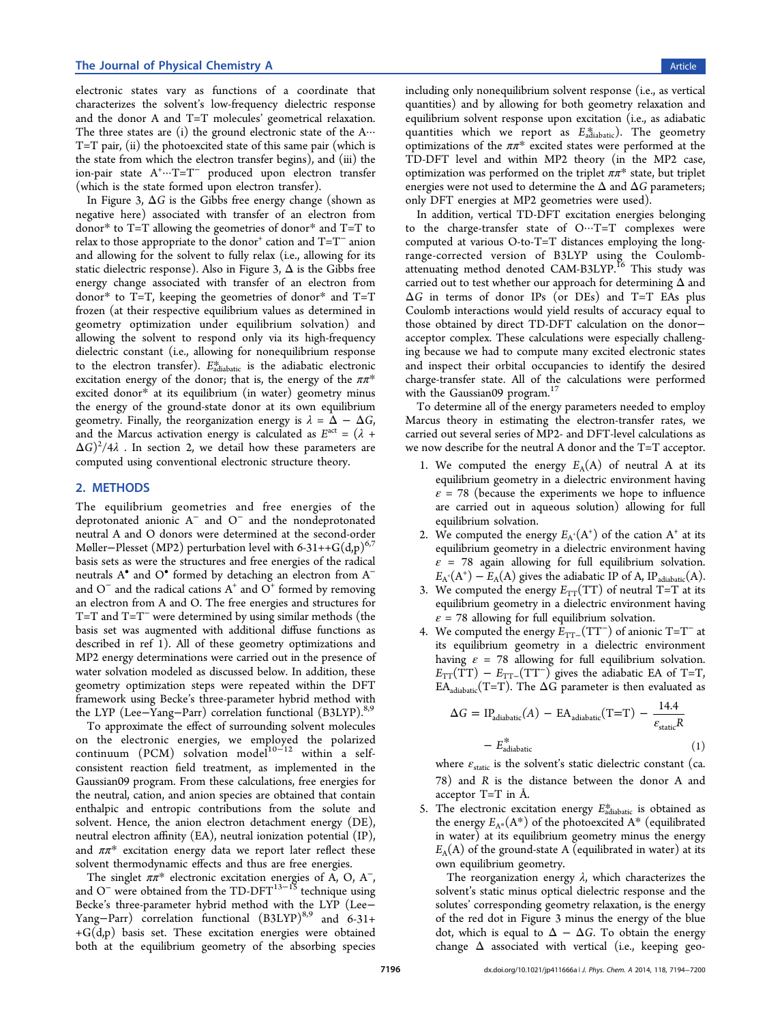<span id="page-2-0"></span>electronic states vary as functions of a coordinate that characterizes the solvent's low-frequency dielectric response and the donor A and T=T molecules' geometrical relaxation. The three states are  $(i)$  the ground electronic state of the A $\cdots$ T=T pair, (ii) the photoexcited state of this same pair (which is the state from which the electron transfer begins), and (iii) the ion-pair state A<sup>+</sup> ···T=T<sup>−</sup> produced upon electron transfer (which is the state formed upon electron transfer).

In Figure 3,  $\Delta G$  is the Gibbs free energy change (shown as negative here) associated with transfer of an electron from donor\* to T[=](#page-1-0)T allowing the geometries of donor\* and T=T to relax to those appropriate to the donor<sup>+</sup> cation and  $T=T^-$  anion and allowing for the solvent to fully relax (i.e., allowing for its static dielectric response). Also in Figure 3,  $\Delta$  is the Gibbs free energy change associated with transfer of an electron from donor\* to  $T=T$ , keeping the geometries [o](#page-1-0)f donor\* and  $T=T$ frozen (at their respective equilibrium values as determined in geometry optimization under equilibrium solvation) and allowing the solvent to respond only via its high-frequency dielectric constant (i.e., allowing for nonequilibrium response to the electron transfer).  $E_{\text{adiabatic}}^{*}$  is the adiabatic electronic excitation energy of the donor; that is, the energy of the  $\pi\pi^*$ excited donor\* at its equilibrium (in water) geometry minus the energy of the ground-state donor at its own equilibrium geometry. Finally, the reorganization energy is  $\lambda = \Delta - \Delta G$ , and the Marcus activation energy is calculated as  $E^{\text{act}} = (\lambda +$  $(\Delta G)^2/4\lambda$  . In section 2, we detail how these parameters are computed using conventional electronic structure theory.

# 2. METHODS

The equilibrium geometries and free energies of the deprotonated anionic A<sup>−</sup> and O<sup>−</sup> and the nondeprotonated neutral A and O donors were determined at the second-order Møller–Plesset (MP2) perturbation level with 6-31++G(d,p)<sup>6,7</sup> basis sets as were the structures and free energies of the radical neutrals [A](#page-6-0)<sup>•</sup> and O<sup>•</sup> formed by detaching an electron from A<sup>[−](#page-6-0)</sup> and  $O^-$  and the radical cations  $A^+$  and  $O^+$  formed by removing an electron from A and O. The free energies and structures for T=T and T=T<sup>−</sup> were determined by using similar methods (the basis set was augmented with additional diffuse functions as described in ref 1). All of these geometry optimizations and MP2 energy determinations were carried out in the presence of water solvation [mo](#page-6-0)deled as discussed below. In addition, these geometry optimization steps were repeated within the DFT framework using Becke's three-parameter hybrid method with the LYP (Lee–Yang–Parr) correlation functional (B3LYP).<sup>8,9</sup>

To approximate the effect of surrounding solvent molecules on the electronic energies, we employed the polari[zed](#page-6-0)  $\text{continuum}$  (PCM) solvation model<sup>10−12</sup> within a selfconsistent reaction field treatment, as implemented in the Gaussian09 program. From these calcul[ations,](#page-6-0) free energies for the neutral, cation, and anion species are obtained that contain enthalpic and entropic contributions from the solute and solvent. Hence, the anion electron detachment energy (DE), neutral electron affinity (EA), neutral ionization potential (IP), and  $\pi \pi^*$  excitation energy data we report later reflect these solvent thermodynamic effects and thus are free energies.

The singlet  $\pi \pi^*$  electronic excitation energies of A, O, A<sup>-</sup>, and O<sup>-</sup> were obtained from the TD-DFT<sup>13–18</sup> technique using Becke's three-parameter hybrid method with the LYP (Lee− Yang–Parr) correlation functional (B[3LYP\)](#page-6-0)<sup>8,9</sup> and 6-31+  $+G(d,p)$  basis set. These excitation energies were obtained both at the equilibrium geometry of the ab[sor](#page-6-0)bing species including only nonequilibrium solvent response (i.e., as vertical quantities) and by allowing for both geometry relaxation and equilibrium solvent response upon excitation (i.e., as adiabatic quantities which we report as  $E_{adiabatic}^{*}$ ). The geometry optimizations of the  $\pi \pi^*$  excited states were performed at the TD-DFT level and within MP2 theory (in the MP2 case, optimization was performed on the triplet  $\pi \pi^*$  state, but triplet energies were not used to determine the  $\Delta$  and  $\Delta G$  parameters; only DFT energies at MP2 geometries were used).

In addition, vertical TD-DFT excitation energies belonging to the charge-transfer state of  $O \cdots T=T$  complexes were computed at various O-to-T=T distances employing the longrange-corrected version of B3LYP using the Coulombattenuating method denoted CAM-B3LYP.<sup>16</sup> This study was carried out to test whether our approach for determining  $\Delta$  and  $\Delta G$  in terms of donor IPs (or DEs) a[nd](#page-6-0) T=T EAs plus Coulomb interactions would yield results of accuracy equal to those obtained by direct TD-DFT calculation on the donor− acceptor complex. These calculations were especially challenging because we had to compute many excited electronic states and inspect their orbital occupancies to identify the desired charge-transfer state. All of the calculations were performed with the Gaussian09 program.<sup>17</sup>

To determine all of the energy parameters needed to employ Marcus theory in estimating [t](#page-6-0)he electron-transfer rates, we carried out several series of MP2- and DFT-level calculations as we now describe for the neutral A donor and the T=T acceptor.

- 1. We computed the energy  $E_A(A)$  of neutral A at its equilibrium geometry in a dielectric environment having  $\epsilon$  = 78 (because the experiments we hope to influence are carried out in aqueous solution) allowing for full equilibrium solvation.
- 2. We computed the energy  $E_{A^*}(A^+)$  of the cation  $A^*$  at its equilibrium geometry in a dielectric environment having  $\varepsilon$  = 78 again allowing for full equilibrium solvation.  $E_{A}$ <sup>+</sup>(A<sup>+</sup>) –  $E_A(A)$  gives the adiabatic IP of A, IP<sub>adiabatic</sub>(A).
- 3. We computed the energy  $E_{TT}(TT)$  of neutral T=T at its equilibrium geometry in a dielectric environment having  $\varepsilon$  = 78 allowing for full equilibrium solvation.
- 4. We computed the energy  $E_{TT-}(TT^-)$  of anionic T=T<sup>-</sup> at its equilibrium geometry in a dielectric environment having  $\varepsilon$  = 78 allowing for full equilibrium solvation.  $E_{TT}(TT) - E_{TT-}(TT^{-})$  gives the adiabatic EA of T=T,  $EA_{adiabatic}(T=T)$ . The  $\Delta G$  parameter is then evaluated as

$$
\Delta G = IP_{adiabatic}(A) - EA_{adiabatic}(T=T) - \frac{14.4}{\epsilon_{static}R}
$$

$$
- E_{adiabatic}^{*}
$$
(1)

where  $\varepsilon_{\text{static}}$  is the solvent's static dielectric constant (ca. 78) and R is the distance between the donor A and acceptor T=T in Å.

5. The electronic excitation energy  $E_{\text{adiabatic}}^{*}$  is obtained as the energy  $E_{A^*}(A^*)$  of the photoexcited  $A^*$  (equilibrated in water) at its equilibrium geometry minus the energy  $E_A(A)$  of the ground-state A (equilibrated in water) at its own equilibrium geometry.

The reorganization energy  $\lambda$ , which characterizes the solvent's static minus optical dielectric response and the solutes' corresponding geometry relaxation, is the energy of the red dot in Figure 3 minus the energy of the blue dot, which is equal to  $\Delta - \Delta G$ . To obtain the energy change  $\Delta$  associated w[ith](#page-1-0) vertical (i.e., keeping geo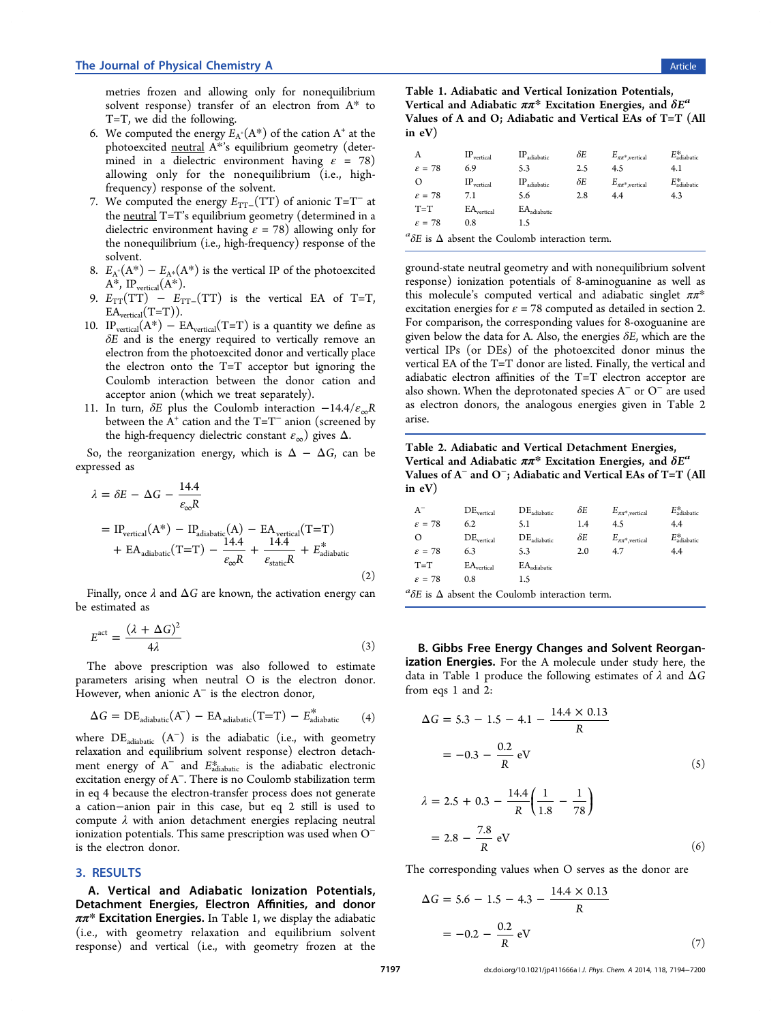<span id="page-3-0"></span>metries frozen and allowing only for nonequilibrium solvent response) transfer of an electron from A\* to T=T, we did the following.

- 6. We computed the energy  $E_A^A(A^*)$  of the cation  $A^+$  at the photoexcited neutral A\*'s equilibrium geometry (determined in a dielectric environment having  $\varepsilon = 78$ ) allowing only for the nonequilibrium (i.e., highfrequency) response of the solvent.
- 7. We computed the energy  $E_{TT-}(TT)$  of anionic T=T<sup>-</sup> at the **neutral**  $T=T$ 's equilibrium geometry (determined in a dielectric environment having  $\varepsilon = 78$ ) allowing only for the nonequilibrium (i.e., high-frequency) response of the solvent.
- 8.  $E_{A^*}(A^*) E_{A^*}(A^*)$  is the vertical IP of the photoexcited  $A^*$ , IP<sub>vertical</sub> $(A^*)$ .
- 9.  $E_{TT}(TT) E_{TT-}(TT)$  is the vertical EA of T=T,  $EA<sub>vertical</sub>(T=T)).$
- 10. IP<sub>vertical</sub> $(A^*)$  EA<sub>vertical</sub> $(T=T)$  is a quantity we define as  $\delta E$  and is the energy required to vertically remove an electron from the photoexcited donor and vertically place the electron onto the T=T acceptor but ignoring the Coulomb interaction between the donor cation and acceptor anion (which we treat separately).
- 11. In turn,  $\delta E$  plus the Coulomb interaction  $-14.4/\varepsilon_{\rm m}R$ between the  $A^+$  cation and the T=T<sup>-</sup> anion (screened by the high-frequency dielectric constant  $\varepsilon_{\infty}$ ) gives  $\Delta$ .

So, the reorganization energy, which is  $\Delta - \Delta G$ , can be expressed as

$$
\lambda = \delta E - \Delta G - \frac{14.4}{\epsilon_{\infty} R}
$$
  
= IP<sub>vertical</sub>(A\*) - IP<sub>adiabatic</sub>(A) - EA<sub>vertical</sub>(T=T)  
+ EA<sub>adiabatic</sub>(T=T) -  $\frac{14.4}{\epsilon_{\infty} R}$  +  $\frac{14.4}{\epsilon_{static} R}$  + E<sup>\*</sup><sub>adiabatic</sub> (2)

Finally, once  $\lambda$  and  $\Delta G$  are known, the activation energy can be estimated as

$$
E^{\text{act}} = \frac{(\lambda + \Delta G)^2}{4\lambda} \tag{3}
$$

The above prescription was also followed to estimate parameters arising when neutral O is the electron donor. However, when anionic  $A^-$  is the electron donor,

$$
\Delta G = \text{DE}_{\text{adiabatic}}(A^-) - \text{EA}_{\text{adiabatic}}(T=T) - E_{\text{adiabatic}}^* \tag{4}
$$

where  $DE_{adiabatic}$   $(A^{-})$  is the adiabatic (i.e., with geometry relaxation and equilibrium solvent response) electron detachment energy of  $A^-$  and  $E_{\text{adiabatic}}^*$  is the adiabatic electronic excitation energy of A<sup>−</sup>. There is no Coulomb stabilization term in eq 4 because the electron-transfer process does not generate a cation−anion pair in this case, but eq 2 still is used to compute  $\lambda$  with anion detachment energies replacing neutral ionization potentials. This same prescription was used when O<sup>−</sup> is the electron donor.

## 3. RESULTS

A. Vertical and Adiabatic Ionization Potentials, Detachment Energies, Electron Affinities, and donor  $\pi \pi^*$  Excitation Energies. In Table 1, we display the adiabatic (i.e., with geometry relaxation and equilibrium solvent response) and vertical (i.e., with geometry frozen at the

Table 1. Adiabatic and Vertical Ionization Potentials, Vertical and Adiabatic  $\pi \pi^*$  Excitation Energies, and  $\delta E^a$ Values of A and O; Adiabatic and Vertical EAs of T=T (All in eV)

| Α                                                               | $IP_{vertical}$ | $IP_{adiabatic}$ | δΕ  | $E_{\pi\pi^*$ , vertical | $E_\mathrm{adiabatic}^*$ |
|-----------------------------------------------------------------|-----------------|------------------|-----|--------------------------|--------------------------|
| $\varepsilon = 78$                                              | 6.9             | 5.3              | 2.5 | 4.5                      | 4.1                      |
| $\Omega$                                                        | $IP_{vertical}$ | $IP_{adiabatic}$ | δΕ  | $E_{\pi\pi^*$ , vertical | $E_{\rm adiabatic}^{*}$  |
| $\varepsilon = 78$                                              | 7.1             | 5.6              | 2.8 | 4.4                      | 4.3                      |
| $T=T$                                                           | $EA_{vertical}$ | $EA_{adiabatic}$ |     |                          |                          |
| $\varepsilon = 78$                                              | 0.8             | 1.5              |     |                          |                          |
| ${}^a\delta E$ is $\Delta$ absent the Coulomb interaction term. |                 |                  |     |                          |                          |

ground-state neutral geometry and with nonequilibrium solvent response) ionization potentials of 8-aminoguanine as well as this molecule's computed vertical and adiabatic singlet  $\pi \pi^*$ excitation energies for  $\varepsilon = 78$  computed as detailed in section 2. For comparison, the corresponding values for 8-oxoguanine are given below t[he](#page-2-0) data for A. Also, the energies  $\delta E$ , which are the vertical IPs (or DEs) of the photoexcited donor minus the vertical EA of the T=T donor are listed. Finally, the vertical and adiabatic electron affinities of the T=T electron acceptor are also shown. When the deprotonated species A<sup>−</sup> or O<sup>−</sup> are used as electron donors, the analogous energies given in Table 2

Table 2. Adiabatic and Vertical Detachment Energies, Vertical and Adiabatic  $\pi \pi^*$  Excitation Energies, and  $\delta E^a$ Values of  $A^-$  and  $O^-$ ; Adiabatic and Vertical EAs of T=T (All in eV)

| $A^-$                            | $DE_{\rm vertical}$           | $DE_{adiabatic}$ | δΕ  | $E_{\pi\pi^*,\rm vertical}$ | $E_{\text{adiabatic}}^*$ |
|----------------------------------|-------------------------------|------------------|-----|-----------------------------|--------------------------|
| $\varepsilon = 78$               | 6.2                           | 5.1              | 1.4 | 4.5                         | 4.4                      |
| O                                | $DE_{vertical}$               | $DE_{adiabatic}$ | δΕ  | $E_{\pi\pi^*,\rm vertical}$ | $E_{\text{adiabatic}}^*$ |
| $\varepsilon = 78$               | 6.3                           | 5.3              | 2.0 | 4.7                         | 4.4                      |
| $T=T$                            | $\text{EA}_{\text{vertical}}$ | $EA_{adiabatic}$ |     |                             |                          |
| $\varepsilon = 78$               | 0.8                           | 1.5              |     |                             |                          |
| $1 \circ \cdots$<br>$\mathbf{I}$ | $\cdots$<br>$\sqrt{ }$        |                  |     |                             |                          |

<sup>a</sup> $\delta E$  is  $\Delta$  absent the Coulomb interaction term.

arise.

B. Gibbs Free Energy Changes and Solvent Reorganization Energies. For the A molecule under study here, the data in Table 1 produce the following estimates of  $\lambda$  and  $\Delta G$ from eqs 1 and 2:

$$
\Delta G = 5.3 - 1.5 - 4.1 - \frac{14.4 \times 0.13}{R}
$$

$$
= -0.3 - \frac{0.2}{R} \text{ eV}
$$
(5)

$$
\lambda = 2.5 + 0.3 - \frac{14.4}{R} \left( \frac{1}{1.8} - \frac{1}{78} \right)
$$

$$
= 2.8 - \frac{7.8}{R} \text{ eV}
$$
(6)

The corresponding values when O serves as the donor are

$$
\Delta G = 5.6 - 1.5 - 4.3 - \frac{14.4 \times 0.13}{R}
$$

$$
= -0.2 - \frac{0.2}{R} \text{ eV}
$$
(7)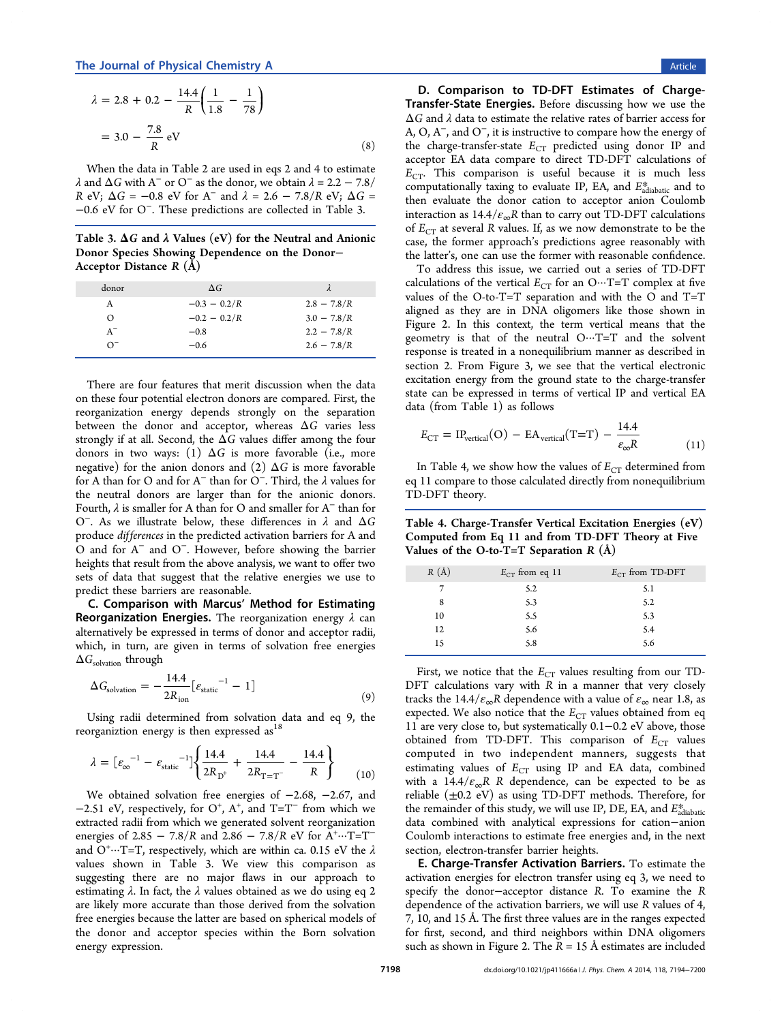<span id="page-4-0"></span>
$$
\lambda = 2.8 + 0.2 - \frac{14.4}{R} \left( \frac{1}{1.8} - \frac{1}{78} \right)
$$

$$
= 3.0 - \frac{7.8}{R} \text{ eV}
$$
(8)

When the data in Table 2 are used in eqs 2 and 4 to estimate  $\lambda$  and  $\Delta G$  with A<sup>−</sup> or O<sup>−</sup> as the donor, we obtain  $\lambda = 2.2 - 7.8/$ [R](#page-3-0) eV;  $\Delta G = -0.8$  eV for [A](#page-3-0)<sup>-</sup> and  $\lambda = 2.6 - 7.8/R$  eV;  $\Delta G =$ −0.6 eV for O<sup>−</sup>. These predictions are collected in Table 3.

Table 3.  $\Delta G$  and  $\lambda$  Values (eV) for the Neutral and Anionic Donor Species Showing Dependence on the Donor− Acceptor Distance R (Å)

| donor                 | $\Delta G$     | λ             |
|-----------------------|----------------|---------------|
| A                     | $-0.3 - 0.2/R$ | $2.8 - 7.8/R$ |
| O                     | $-0.2 - 0.2/R$ | $3.0 - 7.8/R$ |
| $A^{-}$               | $-0.8$         | $2.2 - 7.8/R$ |
| $\Omega$ <sup>-</sup> | $-0.6$         | $2.6 - 7.8/R$ |

There are four features that merit discussion when the data on these four potential electron donors are compared. First, the reorganization energy depends strongly on the separation between the donor and acceptor, whereas  $\Delta G$  varies less strongly if at all. Second, the  $\Delta G$  values differ among the four donors in two ways: (1)  $\Delta G$  is more favorable (i.e., more negative) for the anion donors and (2)  $\Delta G$  is more favorable for A than for O and for A<sup>−</sup> than for O<sup>−</sup>. Third, the λ values for the neutral donors are larger than for the anionic donors. Fourth,  $\lambda$  is smaller for A than for O and smaller for A<sup> $-$ </sup> than for O<sup>−</sup>. As we illustrate below, these differences in λ and ΔG produce differences in the predicted activation barriers for A and O and for A<sup>−</sup> and O<sup>−</sup>. However, before showing the barrier heights that result from the above analysis, we want to offer two sets of data that suggest that the relative energies we use to predict these barriers are reasonable.

C. Comparison with Marcus' Method for Estimating **Reorganization Energies.** The reorganization energy  $\lambda$  can alternatively be expressed in terms of donor and acceptor radii, which, in turn, are given in terms of solvation free energies  $\Delta G_{\text{solvation}}$  through

$$
\Delta G_{\text{solvation}} = -\frac{14.4}{2R_{\text{ion}}} \left[ \varepsilon_{\text{static}} \right]^{-1} - 1 \right] \tag{9}
$$

Using radii determined from solvation data and eq 9, the reorganiztion energy is then expressed as  $^{18}$ 

$$
\lambda = \left[\varepsilon_{\infty}^{-1} - \varepsilon_{\text{static}}^{-1}\right] \left\{\frac{14.4}{2R_{\text{D}^+}} + \frac{14.4}{2R_{\text{T} = \text{T}^-}} - \frac{14.4}{R}\right\} \tag{10}
$$

We obtained solvation free energies of −2.68, −2.67, and  $-2.51$  eV, respectively, for O<sup>+</sup>, A<sup>+</sup>, and T=T<sup>-</sup> from which we extracted radii from which we generated solvent reorganization energies of 2.85 – 7.8/R and 2.86 – 7.8/R eV for  $A^{\dagger}$  ···· T=T<sup>-</sup> and O<sup>+</sup>…T=T, respectively, which are within ca. 0.15 eV the  $\lambda$ values shown in Table 3. We view this comparison as suggesting there are no major flaws in our approach to estimating  $\lambda$ . In fact, the  $\lambda$  values obtained as we do using eq 2 are likely more accurate than those derived from the solvation free energies because the latter are based on spherical models [of](#page-3-0) the donor and acceptor species within the Born solvation energy expression.

D. Comparison to TD-DFT Estimates of Charge-Transfer-State Energies. Before discussing how we use the  $\Delta G$  and  $\lambda$  data to estimate the relative rates of barrier access for A, O, A<sup>−</sup>, and O<sup>−</sup>, it is instructive to compare how the energy of the charge-transfer-state  $E_{CT}$  predicted using donor IP and acceptor EA data compare to direct TD-DFT calculations of  $E_{CT}$ . This comparison is useful because it is much less computationally taxing to evaluate IP, EA, and  $E_{\text{adiabatic}}^{*}$  and to then evaluate the donor cation to acceptor anion Coulomb interaction as  $14.4/\varepsilon_{\infty}R$  than to carry out TD-DFT calculations of  $E_{CT}$  at several R values. If, as we now demonstrate to be the case, the former approach's predictions agree reasonably with the latter's, one can use the former with reasonable confidence.

To address this issue, we carried out a series of TD-DFT calculations of the vertical  $E_{CT}$  for an O···T=T complex at five values of the O-to-T=T separation and with the O and T=T aligned as they are in DNA oligomers like those shown in Figure 2. In this context, the term vertical means that the geometry is that of the neutral  $O \cdots T=T$  and the solvent respons[e](#page-1-0) is treated in a nonequilibrium manner as described in section 2. From Figure 3, we see that the vertical electronic excitation energy from the ground state to the charge-transfer state ca[n](#page-2-0) be expressed i[n](#page-1-0) terms of vertical IP and vertical EA data (from Table 1) as follows

$$
E_{\text{CT}} = \text{IP}_{\text{vertical}}(\text{O}) - \text{EA}_{\text{vertical}}(\text{T} = \text{T}) - \frac{14.4}{\varepsilon_{\infty} R} \tag{11}
$$

In Table 4, we show how the values of  $E_{CT}$  determined from eq 11 compare to those calculated directly from nonequilibrium TD-DFT theory.

Table 4. Charge-Transfer Vertical Excitation Energies (eV) Computed from Eq 11 and from TD-DFT Theory at Five Values of the O-to-T=T Separation  $R(A)$ 

| $R(\AA)$ | $E_{CT}$ from eq 11 | $E_{CT}$ from TD-DFT |
|----------|---------------------|----------------------|
|          | 5.2                 | 5.1                  |
| 8        | 5.3                 | 5.2                  |
| 10       | 5.5                 | 5.3                  |
| 12       | 5.6                 | 5.4                  |
| 15       | 5.8                 | 5.6                  |
|          |                     |                      |

First, we notice that the  $E_{CT}$  values resulting from our TD-DFT calculations vary with R in a manner that very closely tracks the 14.4/ $\varepsilon_{\infty}$ R dependence with a value of  $\varepsilon_{\infty}$  near 1.8, as expected. We also notice that the  $E_{CT}$  values obtained from eq 11 are very close to, but systematically 0.1−0.2 eV above, those obtained from TD-DFT. This comparison of  $E_{CT}$  values computed in two independent manners, suggests that estimating values of  $E_{CT}$  using IP and EA data, combined with a 14.4/ $\varepsilon_{\infty}R$  R dependence, can be expected to be as reliable  $(\pm 0.2 \text{ eV})$  as using TD-DFT methods. Therefore, for the remainder of this study, we will use IP, DE, EA, and  $E_{\text{adiabatic}}^*$ data combined with analytical expressions for cation−anion Coulomb interactions to estimate free energies and, in the next section, electron-transfer barrier heights.

E. Charge-Transfer Activation Barriers. To estimate the activation energies for electron transfer using eq 3, we need to specify the donor−acceptor distance R. To examine the R dependence of the activation barriers, we will use R values of 4, 7, 10, and 15 Å. The first three values are in the ra[ng](#page-3-0)es expected for first, second, and third neighbors within DNA oligomers such as shown in Figure 2. The  $R = 15$  Å estimates are included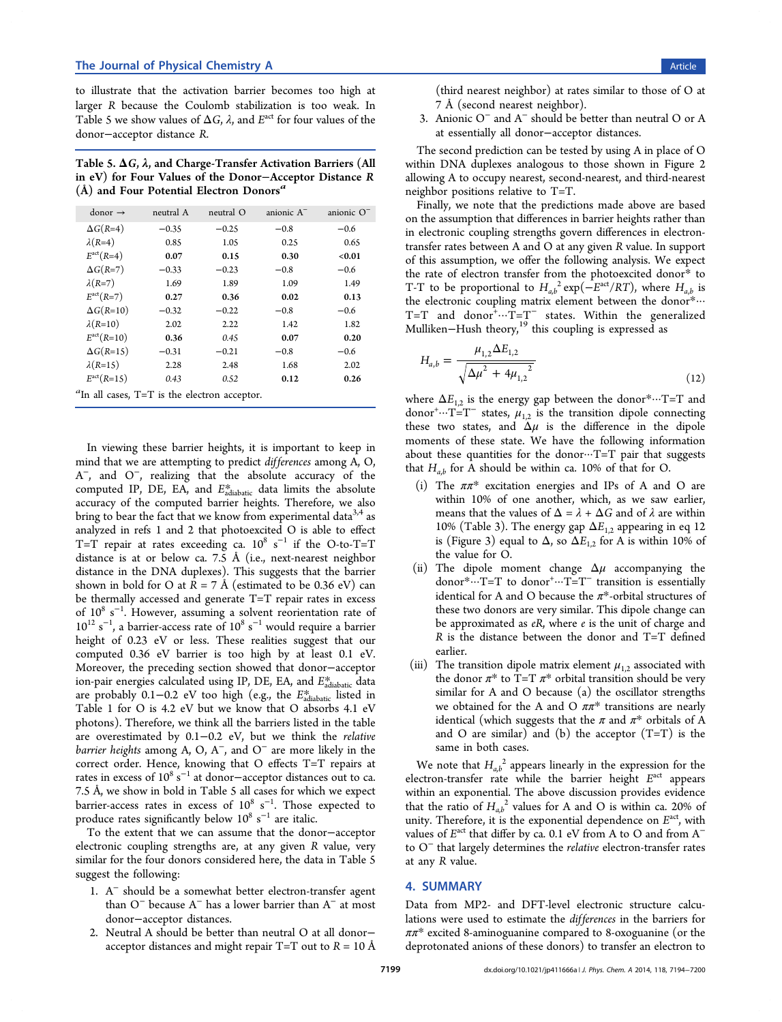<span id="page-5-0"></span>to illustrate that the activation barrier becomes too high at larger R because the Coulomb stabilization is too weak. In Table 5 we show values of  $\Delta G$ ,  $\lambda$ , and  $E^{\text{act}}$  for four values of the donor−acceptor distance R.

Table 5.  $\Delta G$ ,  $\lambda$ , and Charge-Transfer Activation Barriers (All in eV) for Four Values of the Donor−Acceptor Distance R  $(A)$  and Four Potential Electron Donors<sup>a</sup>

| $donor \rightarrow$                                  | neutral A | neutral O | anionic A <sup>-</sup> | anionic $O^-$ |
|------------------------------------------------------|-----------|-----------|------------------------|---------------|
| $\Delta G(R=4)$                                      | $-0.35$   | $-0.25$   | $-0.8$                 | $-0.6$        |
| $\lambda(R=4)$                                       | 0.85      | 1.05      | 0.25                   | 0.65          |
| $E^{\text{act}}(R=4)$                                | 0.07      | 0.15      | 0.30                   | < 0.01        |
| $\Delta G(R=7)$                                      | $-0.33$   | $-0.23$   | $-0.8$                 | $-0.6$        |
| $\lambda(R=7)$                                       | 1.69      | 1.89      | 1.09                   | 1.49          |
| $E^{\text{act}}(R=7)$                                | 0.27      | 0.36      | 0.02                   | 0.13          |
| $\Delta G(R=10)$                                     | $-0.32$   | $-0.22$   | $-0.8$                 | $-0.6$        |
| $\lambda(R=10)$                                      | 2.02      | 2.22      | 1.42                   | 1.82          |
| $E^{\text{act}}(R=10)$                               | 0.36      | 0.45      | 0.07                   | 0.20          |
| $\Delta G(R=15)$                                     | $-0.31$   | $-0.21$   | $-0.8$                 | $-0.6$        |
| $\lambda(R=15)$                                      | 2.28      | 2.48      | 1.68                   | 2.02          |
| $E^{\text{act}}(R=15)$                               | 0.43      | 0.52      | 0.12                   | 0.26          |
| ${}^{a}$ In all cases, T=T is the electron acceptor. |           |           |                        |               |

In viewing these barrier heights, it is important to keep in mind that we are attempting to predict differences among A, O, A<sup>−</sup>, and O<sup>−</sup>, realizing that the absolute accuracy of the computed IP, DE, EA, and  $E_{\text{adiabatic}}^{*}$  data limits the absolute accuracy of the computed barrier heights. Therefore, we also bring to bear the fact that we know from experimental data<sup>3,4</sup> as analyzed in refs 1 and 2 that photoexcited O is able to effect T=T repair at rates exceeding ca.  $10^8 \text{ s}^{-1}$  if the O-to[-T=](#page-6-0)T distance is at or belo[w](#page-6-0) ca. 7.5 Å (i.e., next-nearest neighbor distance in the DNA duplexes). This suggests that the barrier shown in bold for O at  $R = 7 \text{ Å}$  (estimated to be 0.36 eV) can be thermally accessed and generate T=T repair rates in excess of  $10^8$  s<sup>-1</sup>. However, assuming a solvent reorientation rate of  $10^{12}$  s<sup>-1</sup>, a barrier-access rate of  $10^8$  s<sup>-1</sup> would require a barrier height of 0.23 eV or less. These realities suggest that our computed 0.36 eV barrier is too high by at least 0.1 eV. Moreover, the preceding section showed that donor−acceptor ion-pair energies calculated using IP, DE, EA, and  $E_{\text{adiabatic}}^{*}$  data are probably 0.1−0.2 eV too high (e.g., the  $E_{\text{adiabatic}}^{*}$  listed in Table 1 for O is 4.2 eV but we know that O absorbs 4.1 eV photons). Therefore, we think all the barriers listed in the table are ov[e](#page-3-0)restimated by 0.1−0.2 eV, but we think the relative *barrier heights* among A, O, A<sup>-</sup>, and O<sup>-</sup> are more likely in the correct order. Hence, knowing that O effects T=T repairs at rates in excess of  $10^8$  s<sup>-1</sup> at donor–acceptor distances out to ca. 7.5 Å, we show in bold in Table 5 all cases for which we expect barrier-access rates in excess of  $10^8 \text{ s}^{-1}$ . Those expected to produce rates significantly below  $10^8 \text{ s}^{-1}$  are italic.

To the extent that we can assume that the donor−acceptor electronic coupling strengths are, at any given R value, very similar for the four donors considered here, the data in Table 5 suggest the following:

- 1. A<sup>−</sup> should be a somewhat better electron-transfer agent than O<sup>−</sup> because A<sup>−</sup> has a lower barrier than A<sup>−</sup> at most donor−acceptor distances.
- 2. Neutral A should be better than neutral O at all donor− acceptor distances and might repair  $T=T$  out to  $R = 10$  Å

(third nearest neighbor) at rates similar to those of O at 7 Å (second nearest neighbor).

3. Anionic O<sup>−</sup> and A<sup>−</sup> should be better than neutral O or A at essentially all donor−acceptor distances.

The second prediction can be tested by using A in place of O within DNA duplexes analogous to those shown in Figure 2 allowing A to occupy nearest, second-nearest, and third-nearest neighbor positions relative to T=T.

Finally, we note that the predictions made above are base[d](#page-1-0) on the assumption that differences in barrier heights rather than in electronic coupling strengths govern differences in electrontransfer rates between A and O at any given R value. In support of this assumption, we offer the following analysis. We expect the rate of electron transfer from the photoexcited donor\* to T-T to be proportional to  $H_{a,b}^2 \exp(-E^{act}/RT)$ , where  $H_{a,b}$  is the electronic coupling matrix element between the donor\*···  $T=T$  and donor $^{\ddagger} \cdots T=T^{-}$  states. Within the generalized Mulliken-Hush theory,<sup>19</sup> this coupling is expressed as

$$
H_{a,b} = \frac{\mu_{1,2} \Delta E_{1,2}}{\sqrt{\Delta \mu^2 + 4 \mu_{1,2}^2}}
$$
\n(12)

where  $\Delta E_{1,2}$  is the energy gap between the donor\*···T=T and donor<sup>+</sup>...T=T<sup>-</sup> states,  $\mu_{1,2}$  is the transition dipole connecting these two states, and  $\Delta \mu$  is the difference in the dipole moments of these state. We have the following information about these quantities for the donor $\cdots$ T=T pair that suggests that  $H_{a,b}$  for A should be within ca. 10% of that for O.

- (i) The  $\pi \pi^*$  excitation energies and IPs of A and O are within 10% of one another, which, as we saw earlier, means that the values of  $\Delta = \lambda + \Delta G$  and of  $\lambda$  are within 10% (Table 3). The energy gap  $\Delta E_{1,2}$  appearing in eq 12 is (Figure 3) equal to  $\Delta$ , so  $\Delta E_{1,2}$  for A is within 10% of the value fo[r](#page-4-0) O.
- (ii) The dipo[le](#page-1-0) moment change  $\Delta \mu$  accompanying the donor<sup>\*</sup>···T=T to donor<sup>+</sup>···T=T<sup>-</sup> transition is essentially identical for A and O because the  $\pi^*$ -orbital structures of these two donors are very similar. This dipole change can be approximated as  $eR$ , where  $e$  is the unit of charge and R is the distance between the donor and T=T defined earlier.
- (iii) The transition dipole matrix element  $\mu_{1,2}$  associated with the donor  $\pi^*$  to T=T  $\pi^*$  orbital transition should be very similar for A and O because (a) the oscillator strengths we obtained for the A and O  $\pi \pi^*$  transitions are nearly identical (which suggests that the  $\pi$  and  $\pi^*$  orbitals of A and O are similar) and (b) the acceptor  $(T=T)$  is the same in both cases.

We note that  $H_{a,b}^2$  appears linearly in the expression for the electron-transfer rate while the barrier height  $E^{\text{act}}$  appears within an exponential. The above discussion provides evidence that the ratio of  $H_{ab}^2$  values for A and O is within ca. 20% of unity. Therefore, it is the exponential dependence on  $E^{\text{act}}$ , with values of  $E^{\text{act}}$  that differ by ca. 0.1 eV from A to O and from  $A^$ to O<sup>−</sup> that largely determines the relative electron-transfer rates at any R value.

## 4. SUMMARY

Data from MP2- and DFT-level electronic structure calculations were used to estimate the differences in the barriers for  $\pi \pi^*$  excited 8-aminoguanine compared to 8-oxoguanine (or the deprotonated anions of these donors) to transfer an electron to